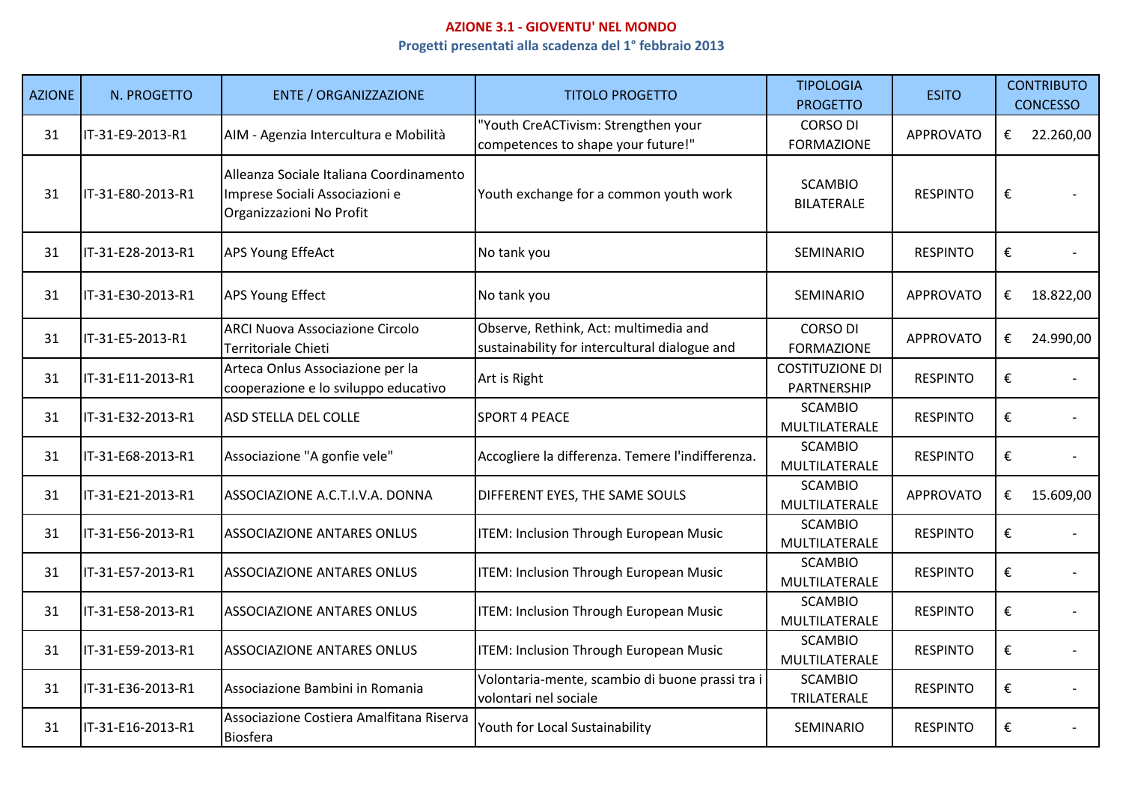## **AZIONE 3.1 - GIOVENTU' NEL MONDOProgetti presentati alla scadenza del 1° febbraio 2013**

| <b>AZIONE</b> | N. PROGETTO       | <b>ENTE / ORGANIZZAZIONE</b>                                                                          | <b>TITOLO PROGETTO</b>                                                                 | <b>TIPOLOGIA</b><br><b>PROGETTO</b>   | <b>ESITO</b>     |                         | <b>CONTRIBUTO</b><br><b>CONCESSO</b> |
|---------------|-------------------|-------------------------------------------------------------------------------------------------------|----------------------------------------------------------------------------------------|---------------------------------------|------------------|-------------------------|--------------------------------------|
| 31            | IT-31-E9-2013-R1  | AIM - Agenzia Intercultura e Mobilità                                                                 | 'Youth CreACTivism: Strengthen your<br>competences to shape your future!"              | <b>CORSO DI</b><br><b>FORMAZIONE</b>  | <b>APPROVATO</b> | €                       | 22.260,00                            |
| 31            | IT-31-E80-2013-R1 | Alleanza Sociale Italiana Coordinamento<br>Imprese Sociali Associazioni e<br>Organizzazioni No Profit | Youth exchange for a common youth work                                                 | <b>SCAMBIO</b><br><b>BILATERALE</b>   | <b>RESPINTO</b>  | €                       |                                      |
| 31            | IT-31-E28-2013-R1 | <b>APS Young EffeAct</b>                                                                              | No tank you                                                                            | SEMINARIO                             | <b>RESPINTO</b>  | €                       |                                      |
| 31            | IT-31-E30-2013-R1 | <b>APS Young Effect</b>                                                                               | No tank you                                                                            | SEMINARIO                             | <b>APPROVATO</b> | €                       | 18.822,00                            |
| 31            | IT-31-E5-2013-R1  | <b>ARCI Nuova Associazione Circolo</b><br>Territoriale Chieti                                         | Observe, Rethink, Act: multimedia and<br>sustainability for intercultural dialogue and | <b>CORSO DI</b><br><b>FORMAZIONE</b>  | <b>APPROVATO</b> | €                       | 24.990,00                            |
| 31            | IT-31-E11-2013-R1 | Arteca Onlus Associazione per la<br>cooperazione e lo sviluppo educativo                              | Art is Right                                                                           | <b>COSTITUZIONE DI</b><br>PARTNERSHIP | <b>RESPINTO</b>  | $\boldsymbol{\epsilon}$ |                                      |
| 31            | IT-31-E32-2013-R1 | ASD STELLA DEL COLLE                                                                                  | <b>SPORT 4 PEACE</b>                                                                   | <b>SCAMBIO</b><br>MULTILATERALE       | <b>RESPINTO</b>  | €                       |                                      |
| 31            | IT-31-E68-2013-R1 | Associazione "A gonfie vele"                                                                          | Accogliere la differenza. Temere l'indifferenza.                                       | <b>SCAMBIO</b><br>MULTILATERALE       | <b>RESPINTO</b>  | $\boldsymbol{\epsilon}$ |                                      |
| 31            | IT-31-E21-2013-R1 | ASSOCIAZIONE A.C.T.I.V.A. DONNA                                                                       | DIFFERENT EYES, THE SAME SOULS                                                         | <b>SCAMBIO</b><br>MULTILATERALE       | <b>APPROVATO</b> | €                       | 15.609,00                            |
| 31            | IT-31-E56-2013-R1 | <b>ASSOCIAZIONE ANTARES ONLUS</b>                                                                     | ITEM: Inclusion Through European Music                                                 | <b>SCAMBIO</b><br>MULTILATERALE       | <b>RESPINTO</b>  | €                       |                                      |
| 31            | IT-31-E57-2013-R1 | <b>ASSOCIAZIONE ANTARES ONLUS</b>                                                                     | ITEM: Inclusion Through European Music                                                 | <b>SCAMBIO</b><br>MULTILATERALE       | <b>RESPINTO</b>  | €                       |                                      |
| 31            | IT-31-E58-2013-R1 | <b>ASSOCIAZIONE ANTARES ONLUS</b>                                                                     | ITEM: Inclusion Through European Music                                                 | <b>SCAMBIO</b><br>MULTILATERALE       | <b>RESPINTO</b>  | €                       |                                      |
| 31            | IT-31-E59-2013-R1 | <b>ASSOCIAZIONE ANTARES ONLUS</b>                                                                     | ITEM: Inclusion Through European Music                                                 | <b>SCAMBIO</b><br>MULTILATERALE       | <b>RESPINTO</b>  | $\boldsymbol{\epsilon}$ |                                      |
| 31            | IT-31-E36-2013-R1 | Associazione Bambini in Romania                                                                       | Volontaria-mente, scambio di buone prassi tra i<br>volontari nel sociale               | <b>SCAMBIO</b><br>TRILATERALE         | <b>RESPINTO</b>  | $\boldsymbol{\epsilon}$ |                                      |
| 31            | IT-31-E16-2013-R1 | Associazione Costiera Amalfitana Riserva<br><b>Biosfera</b>                                           | Youth for Local Sustainability                                                         | SEMINARIO                             | <b>RESPINTO</b>  | €                       |                                      |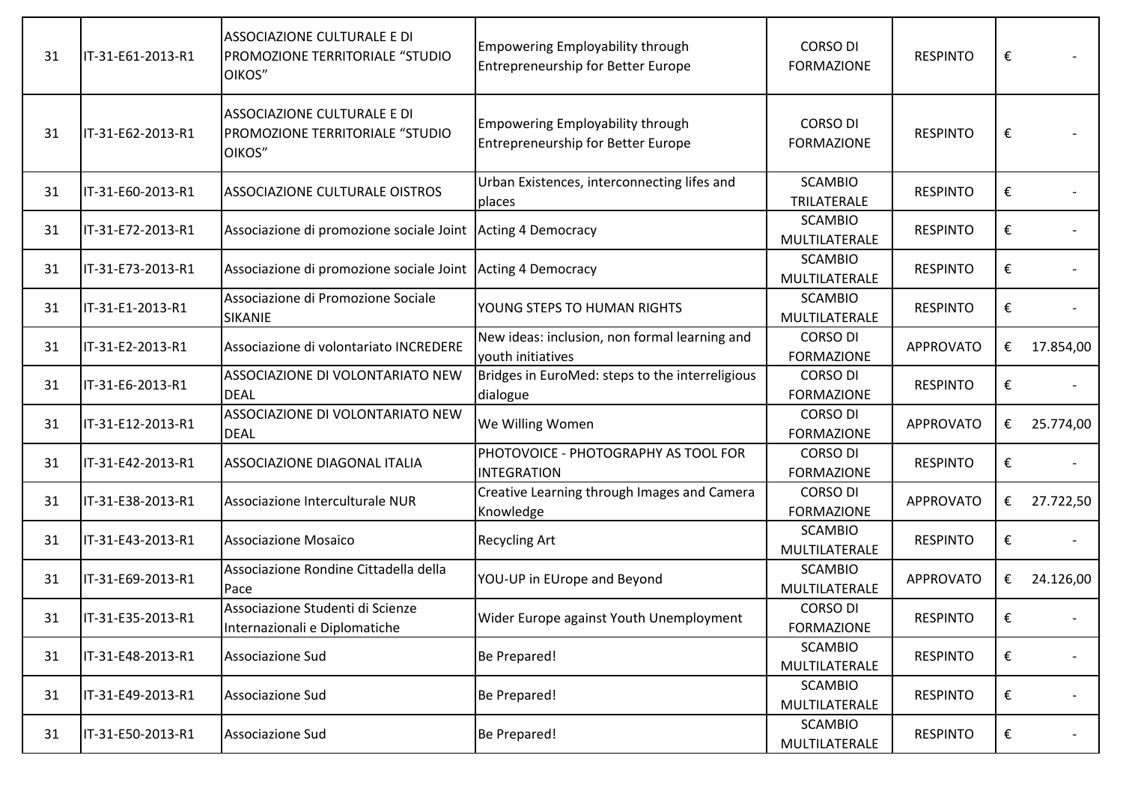| 31 | IT-31-E61-2013-R1 | ASSOCIAZIONE CULTURALE E DI<br>PROMOZIONE TERRITORIALE "STUDIO<br>OIKOS" | Empowering Employability through<br><b>Entrepreneurship for Better Europe</b> | <b>CORSO DI</b><br><b>FORMAZIONE</b> | <b>RESPINTO</b>  | € |           |
|----|-------------------|--------------------------------------------------------------------------|-------------------------------------------------------------------------------|--------------------------------------|------------------|---|-----------|
| 31 | IT-31-E62-2013-R1 | ASSOCIAZIONE CULTURALE E DI<br>PROMOZIONE TERRITORIALE "STUDIO<br>OIKOS" | Empowering Employability through<br><b>Entrepreneurship for Better Europe</b> | <b>CORSO DI</b><br><b>FORMAZIONE</b> | <b>RESPINTO</b>  | € |           |
| 31 | IT-31-E60-2013-R1 | ASSOCIAZIONE CULTURALE OISTROS                                           | Urban Existences, interconnecting lifes and<br>places                         | <b>SCAMBIO</b><br>TRILATERALE        | <b>RESPINTO</b>  | € |           |
| 31 | IT-31-E72-2013-R1 | Associazione di promozione sociale Joint Acting 4 Democracy              |                                                                               | <b>SCAMBIO</b><br>MULTILATERALE      | <b>RESPINTO</b>  | € |           |
| 31 | IT-31-E73-2013-R1 | Associazione di promozione sociale Joint Acting 4 Democracy              |                                                                               | <b>SCAMBIO</b><br>MULTILATERALE      | <b>RESPINTO</b>  | € |           |
| 31 | IT-31-E1-2013-R1  | Associazione di Promozione Sociale<br>SIKANIE                            | YOUNG STEPS TO HUMAN RIGHTS                                                   | <b>SCAMBIO</b><br>MULTILATERALE      | <b>RESPINTO</b>  | € |           |
| 31 | IT-31-E2-2013-R1  | Associazione di volontariato INCREDERE                                   | New ideas: inclusion, non formal learning and<br>youth initiatives            | <b>CORSO DI</b><br><b>FORMAZIONE</b> | <b>APPROVATO</b> | € | 17.854,00 |
| 31 | IT-31-E6-2013-R1  | ASSOCIAZIONE DI VOLONTARIATO NEW<br><b>DEAL</b>                          | Bridges in EuroMed: steps to the interreligious<br>dialogue                   | <b>CORSO DI</b><br><b>FORMAZIONE</b> | <b>RESPINTO</b>  | € |           |
| 31 | IT-31-E12-2013-R1 | ASSOCIAZIONE DI VOLONTARIATO NEW<br><b>DEAL</b>                          | We Willing Women                                                              | <b>CORSO DI</b><br><b>FORMAZIONE</b> | <b>APPROVATO</b> | € | 25.774,00 |
| 31 | IT-31-E42-2013-R1 | ASSOCIAZIONE DIAGONAL ITALIA                                             | PHOTOVOICE - PHOTOGRAPHY AS TOOL FOR<br><b>INTEGRATION</b>                    | <b>CORSO DI</b><br><b>FORMAZIONE</b> | <b>RESPINTO</b>  | € |           |
| 31 | IT-31-E38-2013-R1 | Associazione Interculturale NUR                                          | Creative Learning through Images and Camera<br>Knowledge                      | <b>CORSO DI</b><br><b>FORMAZIONE</b> | <b>APPROVATO</b> | € | 27.722,50 |
| 31 | IT-31-E43-2013-R1 | <b>Associazione Mosaico</b>                                              | <b>Recycling Art</b>                                                          | <b>SCAMBIO</b><br>MULTILATERALE      | <b>RESPINTO</b>  | € |           |
| 31 | IT-31-E69-2013-R1 | Associazione Rondine Cittadella della<br>Pace                            | YOU-UP in EUrope and Beyond                                                   | <b>SCAMBIO</b><br>MULTILATERALE      | <b>APPROVATO</b> | € | 24.126,00 |
| 31 | IT-31-E35-2013-R1 | Associazione Studenti di Scienze<br>Internazionali e Diplomatiche        | Wider Europe against Youth Unemployment                                       | CORSO DI<br><b>FORMAZIONE</b>        | <b>RESPINTO</b>  | € |           |
| 31 | IT-31-E48-2013-R1 | Associazione Sud                                                         | Be Prepared!                                                                  | <b>SCAMBIO</b><br>MULTILATERALE      | <b>RESPINTO</b>  | € |           |
| 31 | IT-31-E49-2013-R1 | Associazione Sud                                                         | Be Prepared!                                                                  | <b>SCAMBIO</b><br>MULTILATERALE      | <b>RESPINTO</b>  | € |           |
| 31 | IT-31-E50-2013-R1 | Associazione Sud                                                         | Be Prepared!                                                                  | <b>SCAMBIO</b><br>MULTILATERALE      | <b>RESPINTO</b>  | € |           |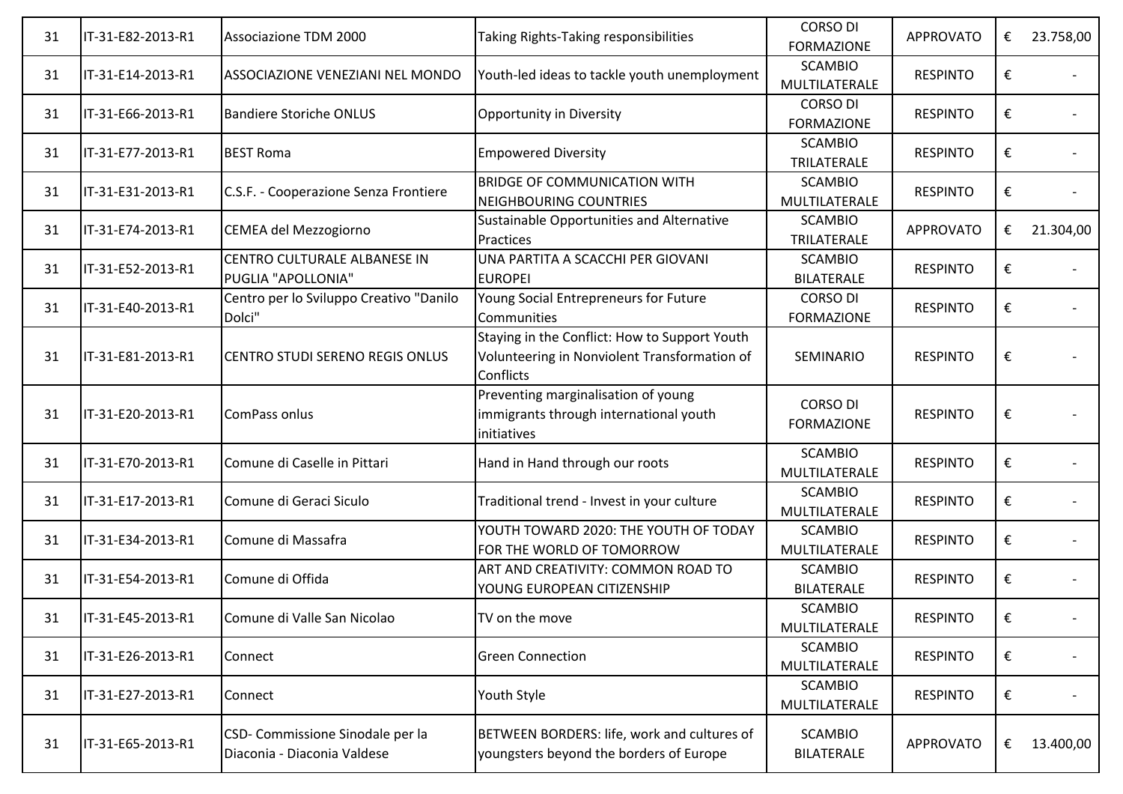| 31 | IT-31-E82-2013-R1 | Associazione TDM 2000                                           | Taking Rights-Taking responsibilities                                                                             | <b>CORSO DI</b><br><b>FORMAZIONE</b> | <b>APPROVATO</b> | € | 23.758,00 |
|----|-------------------|-----------------------------------------------------------------|-------------------------------------------------------------------------------------------------------------------|--------------------------------------|------------------|---|-----------|
| 31 | IT-31-E14-2013-R1 | ASSOCIAZIONE VENEZIANI NEL MONDO                                | Youth-led ideas to tackle youth unemployment                                                                      | <b>SCAMBIO</b><br>MULTILATERALE      | <b>RESPINTO</b>  | € |           |
| 31 | IT-31-E66-2013-R1 | <b>Bandiere Storiche ONLUS</b>                                  | Opportunity in Diversity                                                                                          | <b>CORSO DI</b><br><b>FORMAZIONE</b> | <b>RESPINTO</b>  | € |           |
| 31 | IT-31-E77-2013-R1 | <b>BEST Roma</b>                                                | <b>Empowered Diversity</b>                                                                                        | <b>SCAMBIO</b><br>TRILATERALE        | <b>RESPINTO</b>  | € |           |
| 31 | IT-31-E31-2013-R1 | C.S.F. - Cooperazione Senza Frontiere                           | <b>BRIDGE OF COMMUNICATION WITH</b><br><b>NEIGHBOURING COUNTRIES</b>                                              | <b>SCAMBIO</b><br>MULTILATERALE      | <b>RESPINTO</b>  | € |           |
| 31 | IT-31-E74-2013-R1 | CEMEA del Mezzogiorno                                           | Sustainable Opportunities and Alternative<br>Practices                                                            | <b>SCAMBIO</b><br>TRILATERALE        | <b>APPROVATO</b> | € | 21.304,00 |
| 31 | IT-31-E52-2013-R1 | CENTRO CULTURALE ALBANESE IN<br>PUGLIA "APOLLONIA"              | UNA PARTITA A SCACCHI PER GIOVANI<br><b>EUROPEI</b>                                                               | <b>SCAMBIO</b><br><b>BILATERALE</b>  | <b>RESPINTO</b>  | € |           |
| 31 | IT-31-E40-2013-R1 | Centro per lo Sviluppo Creativo "Danilo<br>Dolci"               | Young Social Entrepreneurs for Future<br>Communities                                                              | <b>CORSO DI</b><br><b>FORMAZIONE</b> | <b>RESPINTO</b>  | € |           |
| 31 | IT-31-E81-2013-R1 | <b>CENTRO STUDI SERENO REGIS ONLUS</b>                          | Staying in the Conflict: How to Support Youth<br>Volunteering in Nonviolent Transformation of<br><b>Conflicts</b> | <b>SEMINARIO</b>                     | <b>RESPINTO</b>  | € |           |
| 31 | IT-31-E20-2013-R1 | ComPass onlus                                                   | Preventing marginalisation of young<br>immigrants through international youth<br>initiatives                      | <b>CORSO DI</b><br><b>FORMAZIONE</b> | <b>RESPINTO</b>  | € |           |
| 31 | IT-31-E70-2013-R1 | Comune di Caselle in Pittari                                    | Hand in Hand through our roots                                                                                    | <b>SCAMBIO</b><br>MULTILATERALE      | <b>RESPINTO</b>  | € |           |
| 31 | IT-31-E17-2013-R1 | Comune di Geraci Siculo                                         | Traditional trend - Invest in your culture                                                                        | <b>SCAMBIO</b><br>MULTILATERALE      | <b>RESPINTO</b>  | € |           |
| 31 | IT-31-E34-2013-R1 | Comune di Massafra                                              | YOUTH TOWARD 2020: THE YOUTH OF TODAY<br>FOR THE WORLD OF TOMORROW                                                | <b>SCAMBIO</b><br>MULTILATERALE      | <b>RESPINTO</b>  | € |           |
| 31 | IT-31-E54-2013-R1 | Comune di Offida                                                | ART AND CREATIVITY: COMMON ROAD TO<br>YOUNG EUROPEAN CITIZENSHIP                                                  | <b>SCAMBIO</b><br><b>BILATERALE</b>  | <b>RESPINTO</b>  | € |           |
| 31 | IT-31-E45-2013-R1 | Comune di Valle San Nicolao                                     | TV on the move                                                                                                    | <b>SCAMBIO</b><br>MULTILATERALE      | <b>RESPINTO</b>  | € |           |
| 31 | IT-31-E26-2013-R1 | Connect                                                         | <b>Green Connection</b>                                                                                           | <b>SCAMBIO</b><br>MULTILATERALE      | <b>RESPINTO</b>  | € |           |
| 31 | IT-31-E27-2013-R1 | Connect                                                         | Youth Style                                                                                                       | <b>SCAMBIO</b><br>MULTILATERALE      | <b>RESPINTO</b>  | € |           |
| 31 | IT-31-E65-2013-R1 | CSD- Commissione Sinodale per la<br>Diaconia - Diaconia Valdese | BETWEEN BORDERS: life, work and cultures of<br>youngsters beyond the borders of Europe                            | <b>SCAMBIO</b><br><b>BILATERALE</b>  | <b>APPROVATO</b> | € | 13.400,00 |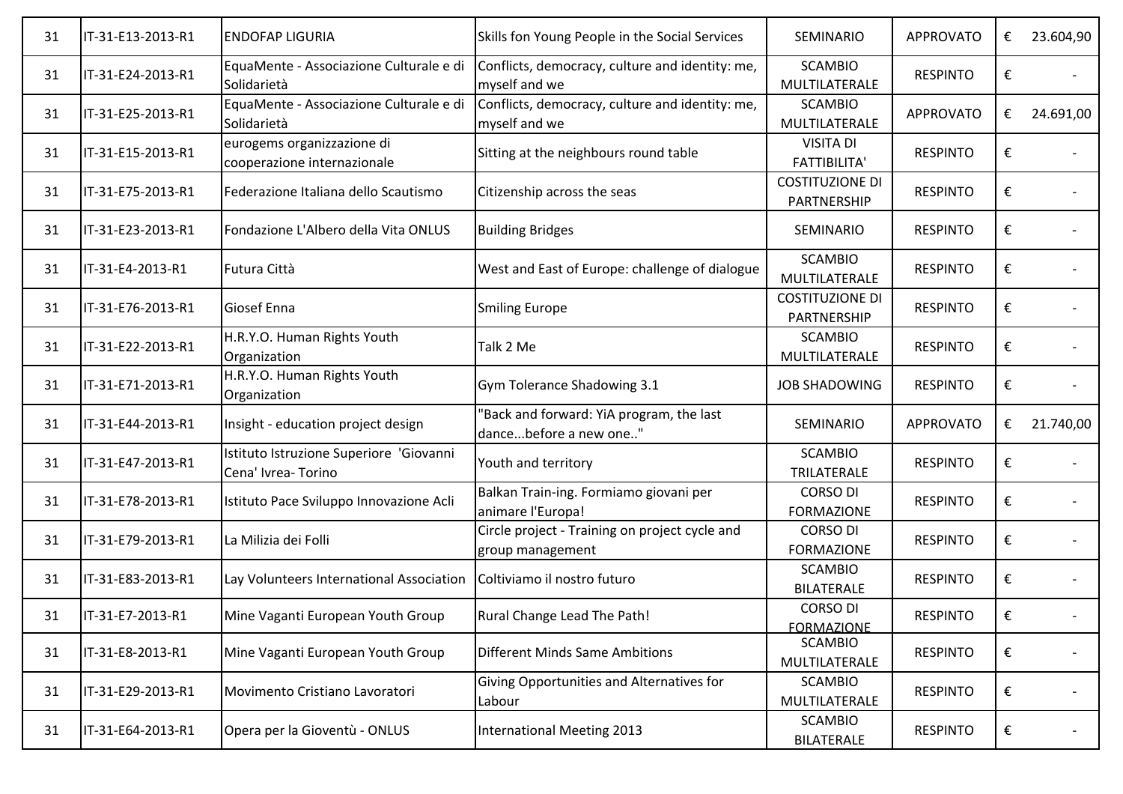| 31 | IT-31-E13-2013-R1 | <b>ENDOFAP LIGURIA</b>                                        | Skills fon Young People in the Social Services                     | SEMINARIO                               | <b>APPROVATO</b> | € | 23.604,90 |
|----|-------------------|---------------------------------------------------------------|--------------------------------------------------------------------|-----------------------------------------|------------------|---|-----------|
| 31 | IT-31-E24-2013-R1 | EquaMente - Associazione Culturale e di<br>Solidarietà        | Conflicts, democracy, culture and identity: me,<br>myself and we   | <b>SCAMBIO</b><br>MULTILATERALE         | <b>RESPINTO</b>  | € |           |
| 31 | IT-31-E25-2013-R1 | EquaMente - Associazione Culturale e di<br>Solidarietà        | Conflicts, democracy, culture and identity: me,<br>myself and we   | <b>SCAMBIO</b><br>MULTILATERALE         | <b>APPROVATO</b> | € | 24.691,00 |
| 31 | IT-31-E15-2013-R1 | eurogems organizzazione di<br>cooperazione internazionale     | Sitting at the neighbours round table                              | <b>VISITA DI</b><br><b>FATTIBILITA'</b> | <b>RESPINTO</b>  | € |           |
| 31 | IT-31-E75-2013-R1 | Federazione Italiana dello Scautismo                          | Citizenship across the seas                                        | <b>COSTITUZIONE DI</b><br>PARTNERSHIP   | <b>RESPINTO</b>  | € |           |
| 31 | IT-31-E23-2013-R1 | Fondazione L'Albero della Vita ONLUS                          | <b>Building Bridges</b>                                            | SEMINARIO                               | <b>RESPINTO</b>  | € |           |
| 31 | IT-31-E4-2013-R1  | Futura Città                                                  | West and East of Europe: challenge of dialogue                     | <b>SCAMBIO</b><br>MULTILATERALE         | <b>RESPINTO</b>  | € |           |
| 31 | IT-31-E76-2013-R1 | Giosef Enna                                                   | <b>Smiling Europe</b>                                              | <b>COSTITUZIONE DI</b><br>PARTNERSHIP   | <b>RESPINTO</b>  | € |           |
| 31 | IT-31-E22-2013-R1 | H.R.Y.O. Human Rights Youth<br>Organization                   | Talk 2 Me                                                          | <b>SCAMBIO</b><br>MULTILATERALE         | <b>RESPINTO</b>  | € |           |
| 31 | IT-31-E71-2013-R1 | H.R.Y.O. Human Rights Youth<br>Organization                   | Gym Tolerance Shadowing 3.1                                        | <b>JOB SHADOWING</b>                    | <b>RESPINTO</b>  | € |           |
| 31 | IT-31-E44-2013-R1 | Insight - education project design                            | 'Back and forward: YiA program, the last<br>dancebefore a new one" | <b>SEMINARIO</b>                        | <b>APPROVATO</b> | € | 21.740,00 |
| 31 | IT-31-E47-2013-R1 | Istituto Istruzione Superiore 'Giovanni<br>Cena' Ivrea-Torino | Youth and territory                                                | <b>SCAMBIO</b><br>TRILATERALE           | <b>RESPINTO</b>  | € |           |
| 31 | IT-31-E78-2013-R1 | Istituto Pace Sviluppo Innovazione Acli                       | Balkan Train-ing. Formiamo giovani per<br>animare l'Europa!        | <b>CORSO DI</b><br><b>FORMAZIONE</b>    | <b>RESPINTO</b>  | € |           |
| 31 | IT-31-E79-2013-R1 | La Milizia dei Folli                                          | Circle project - Training on project cycle and<br>group management | <b>CORSO DI</b><br><b>FORMAZIONE</b>    | <b>RESPINTO</b>  | € |           |
| 31 | IT-31-E83-2013-R1 | Lay Volunteers International Association                      | Coltiviamo il nostro futuro                                        | <b>SCAMBIO</b><br><b>BILATERALE</b>     | <b>RESPINTO</b>  | € |           |
| 31 | IT-31-E7-2013-R1  | Mine Vaganti European Youth Group                             | Rural Change Lead The Path!                                        | <b>CORSO DI</b><br><b>FORMAZIONE</b>    | <b>RESPINTO</b>  |   |           |
| 31 | IT-31-E8-2013-R1  | Mine Vaganti European Youth Group                             | <b>Different Minds Same Ambitions</b>                              | <b>SCAMBIO</b><br>MULTILATERALE         | <b>RESPINTO</b>  | € |           |
| 31 | IT-31-E29-2013-R1 | Movimento Cristiano Lavoratori                                | Giving Opportunities and Alternatives for<br>Labour                | <b>SCAMBIO</b><br>MULTILATERALE         | <b>RESPINTO</b>  | € |           |
| 31 | IT-31-E64-2013-R1 | Opera per la Gioventù - ONLUS                                 | <b>International Meeting 2013</b>                                  | <b>SCAMBIO</b><br><b>BILATERALE</b>     | <b>RESPINTO</b>  | € |           |